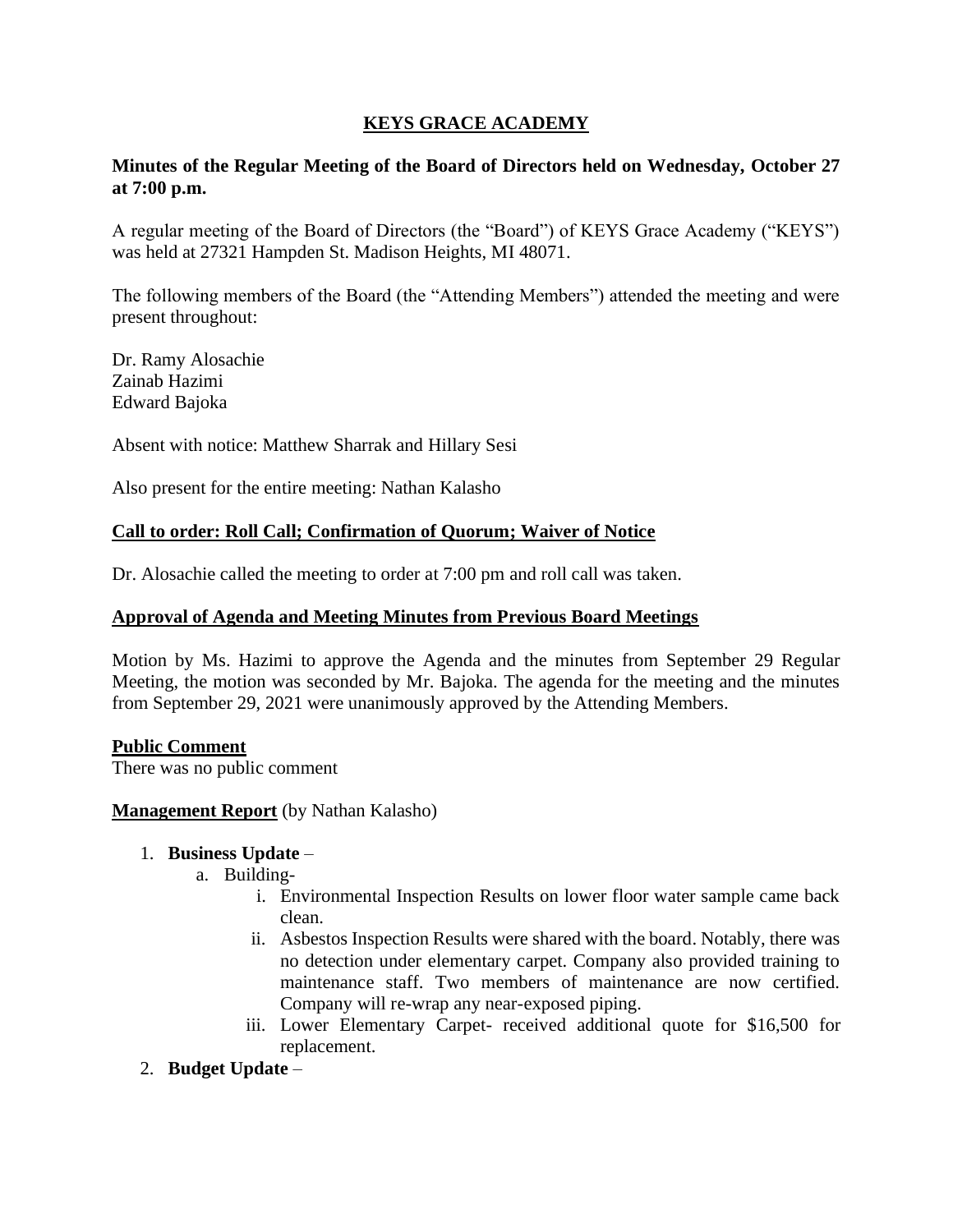# **KEYS GRACE ACADEMY**

### **Minutes of the Regular Meeting of the Board of Directors held on Wednesday, October 27 at 7:00 p.m.**

A regular meeting of the Board of Directors (the "Board") of KEYS Grace Academy ("KEYS") was held at 27321 Hampden St. Madison Heights, MI 48071.

The following members of the Board (the "Attending Members") attended the meeting and were present throughout:

Dr. Ramy Alosachie Zainab Hazimi Edward Bajoka

Absent with notice: Matthew Sharrak and Hillary Sesi

Also present for the entire meeting: Nathan Kalasho

### **Call to order: Roll Call; Confirmation of Quorum; Waiver of Notice**

Dr. Alosachie called the meeting to order at 7:00 pm and roll call was taken.

### **Approval of Agenda and Meeting Minutes from Previous Board Meetings**

Motion by Ms. Hazimi to approve the Agenda and the minutes from September 29 Regular Meeting, the motion was seconded by Mr. Bajoka. The agenda for the meeting and the minutes from September 29, 2021 were unanimously approved by the Attending Members.

### **Public Comment**

There was no public comment

### **Management Report** (by Nathan Kalasho)

### 1. **Business Update** –

- a. Building
	- i. Environmental Inspection Results on lower floor water sample came back clean.
	- ii. Asbestos Inspection Results were shared with the board. Notably, there was no detection under elementary carpet. Company also provided training to maintenance staff. Two members of maintenance are now certified. Company will re-wrap any near-exposed piping.
	- iii. Lower Elementary Carpet- received additional quote for \$16,500 for replacement.
- 2. **Budget Update** –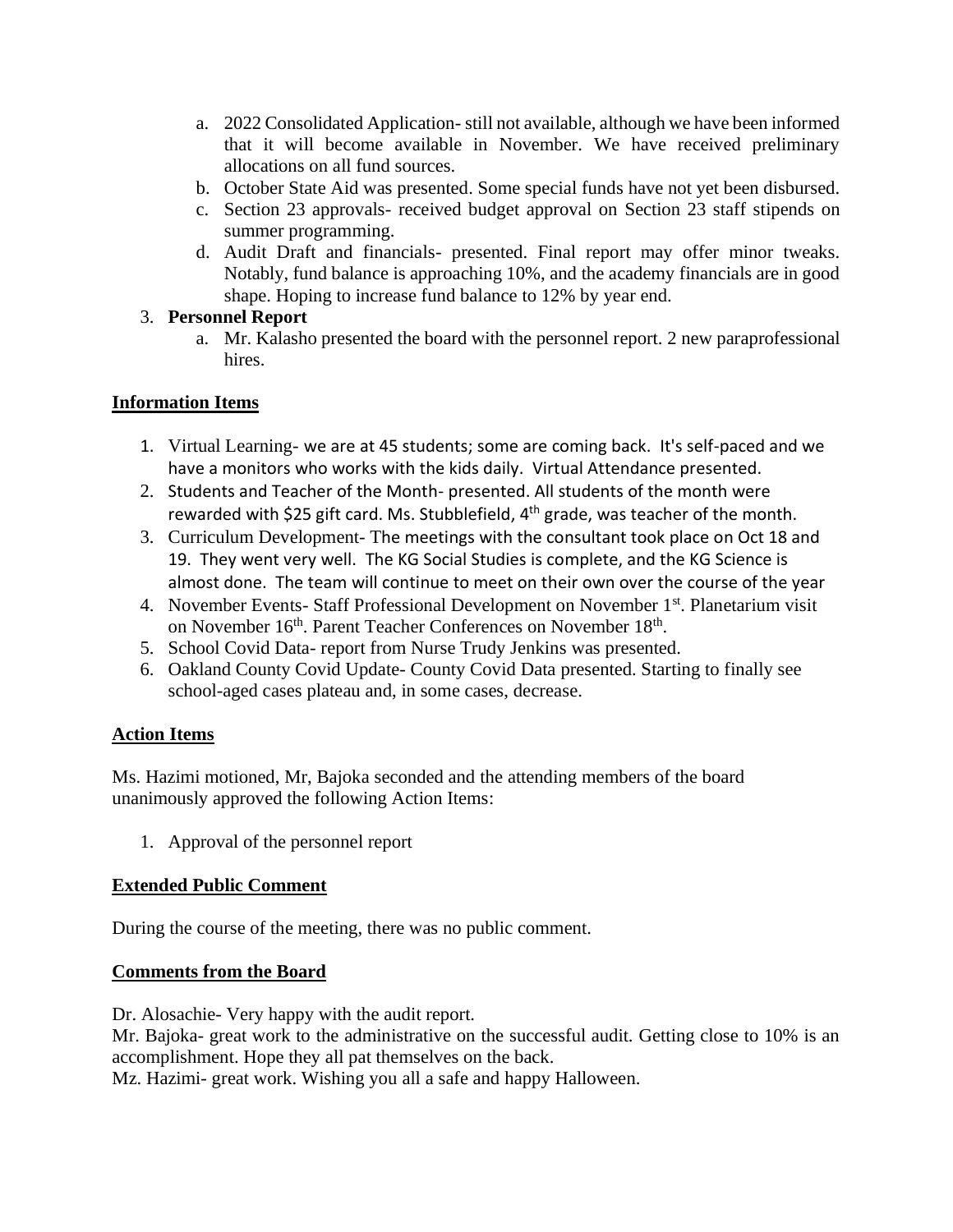- a. 2022 Consolidated Application- still not available, although we have been informed that it will become available in November. We have received preliminary allocations on all fund sources.
- b. October State Aid was presented. Some special funds have not yet been disbursed.
- c. Section 23 approvals- received budget approval on Section 23 staff stipends on summer programming.
- d. Audit Draft and financials- presented. Final report may offer minor tweaks. Notably, fund balance is approaching 10%, and the academy financials are in good shape. Hoping to increase fund balance to 12% by year end.

# 3. **Personnel Report**

a. Mr. Kalasho presented the board with the personnel report. 2 new paraprofessional hires.

# **Information Items**

- 1. Virtual Learning- we are at 45 students; some are coming back. It's self-paced and we have a monitors who works with the kids daily. Virtual Attendance presented.
- 2. Students and Teacher of the Month- presented. All students of the month were rewarded with \$25 gift card. Ms. Stubblefield,  $4<sup>th</sup>$  grade, was teacher of the month.
- 3. Curriculum Development- The meetings with the consultant took place on Oct 18 and 19. They went very well. The KG Social Studies is complete, and the KG Science is almost done. The team will continue to meet on their own over the course of the year
- 4. November Events- Staff Professional Development on November 1<sup>st</sup>. Planetarium visit on November 16<sup>th</sup>. Parent Teacher Conferences on November 18<sup>th</sup>.
- 5. School Covid Data- report from Nurse Trudy Jenkins was presented.
- 6. Oakland County Covid Update- County Covid Data presented. Starting to finally see school-aged cases plateau and, in some cases, decrease.

## **Action Items**

Ms. Hazimi motioned, Mr, Bajoka seconded and the attending members of the board unanimously approved the following Action Items:

1. Approval of the personnel report

# **Extended Public Comment**

During the course of the meeting, there was no public comment.

## **Comments from the Board**

Dr. Alosachie- Very happy with the audit report.

Mr. Bajoka- great work to the administrative on the successful audit. Getting close to 10% is an accomplishment. Hope they all pat themselves on the back.

Mz. Hazimi- great work. Wishing you all a safe and happy Halloween.